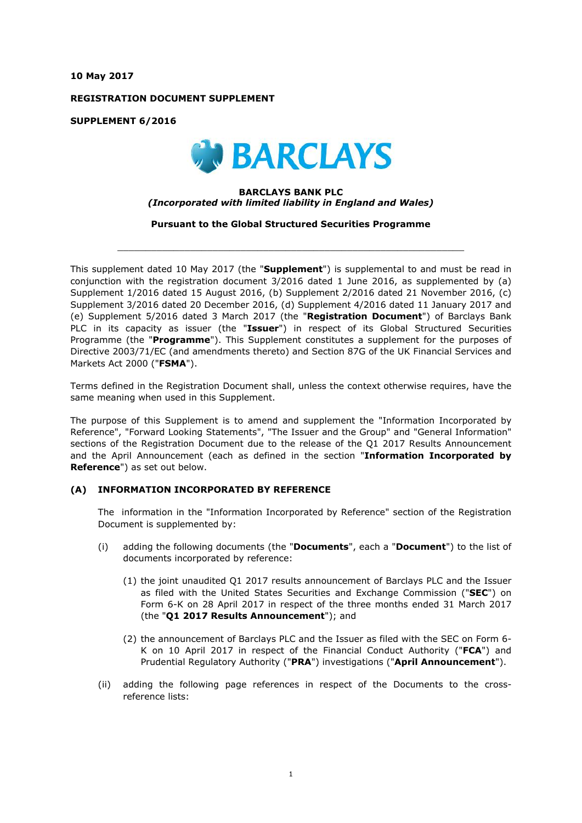**10 May 2017**

**REGISTRATION DOCUMENT SUPPLEMENT**

**SUPPLEMENT 6/2016**



### **BARCLAYS BANK PLC** *(Incorporated with limited liability in England and Wales)*

**Pursuant to the Global Structured Securities Programme**

 $\_$  ,  $\_$  ,  $\_$  ,  $\_$  ,  $\_$  ,  $\_$  ,  $\_$  ,  $\_$  ,  $\_$  ,  $\_$  ,  $\_$  ,  $\_$  ,  $\_$  ,  $\_$  ,  $\_$  ,  $\_$  ,  $\_$  ,  $\_$  ,  $\_$  ,  $\_$  ,  $\_$  ,  $\_$  ,  $\_$  ,  $\_$  ,  $\_$  ,  $\_$  ,  $\_$  ,  $\_$  ,  $\_$  ,  $\_$  ,  $\_$  ,  $\_$  ,  $\_$  ,  $\_$  ,  $\_$  ,  $\_$  ,  $\_$  ,

This supplement dated 10 May 2017 (the "**Supplement**") is supplemental to and must be read in conjunction with the registration document 3/2016 dated 1 June 2016, as supplemented by (a) Supplement 1/2016 dated 15 August 2016, (b) Supplement 2/2016 dated 21 November 2016, (c) Supplement 3/2016 dated 20 December 2016, (d) Supplement 4/2016 dated 11 January 2017 and (e) Supplement 5/2016 dated 3 March 2017 (the "**Registration Document**") of Barclays Bank PLC in its capacity as issuer (the "**Issuer**") in respect of its Global Structured Securities Programme (the "**Programme**"). This Supplement constitutes a supplement for the purposes of Directive 2003/71/EC (and amendments thereto) and Section 87G of the UK Financial Services and Markets Act 2000 ("**FSMA**").

Terms defined in the Registration Document shall, unless the context otherwise requires, have the same meaning when used in this Supplement.

The purpose of this Supplement is to amend and supplement the "Information Incorporated by Reference", "Forward Looking Statements", "The Issuer and the Group" and "General Information" sections of the Registration Document due to the release of the Q1 2017 Results Announcement and the April Announcement (each as defined in the section "**Information Incorporated by Reference**") as set out below.

# **(A) INFORMATION INCORPORATED BY REFERENCE**

The information in the "Information Incorporated by Reference" section of the Registration Document is supplemented by:

- (i) adding the following documents (the "**Documents**", each a "**Document**") to the list of documents incorporated by reference:
	- (1) the joint unaudited Q1 2017 results announcement of Barclays PLC and the Issuer as filed with the United States Securities and Exchange Commission ("**SEC**") on Form 6-K on 28 April 2017 in respect of the three months ended 31 March 2017 (the "**Q1 2017 Results Announcement**"); and
	- (2) the announcement of Barclays PLC and the Issuer as filed with the SEC on Form 6- K on 10 April 2017 in respect of the Financial Conduct Authority ("**FCA**") and Prudential Regulatory Authority ("**PRA**") investigations ("**April Announcement**").
- (ii) adding the following page references in respect of the Documents to the crossreference lists: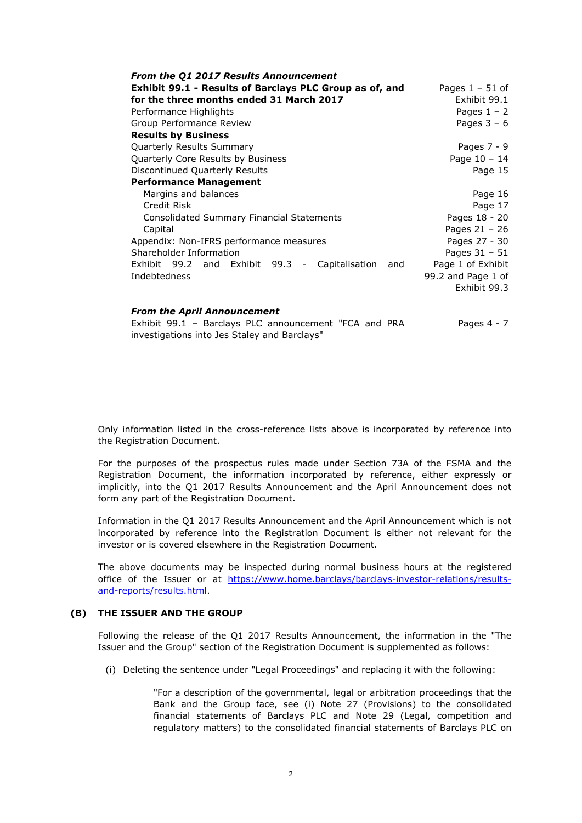| <b>From the Q1 2017 Results Announcement</b>                                          |                    |
|---------------------------------------------------------------------------------------|--------------------|
| Exhibit 99.1 - Results of Barclays PLC Group as of, and                               | Pages $1 - 51$ of  |
| for the three months ended 31 March 2017                                              | Exhibit 99.1       |
| Performance Highlights                                                                | Pages $1 - 2$      |
| Group Performance Review                                                              | Pages $3 - 6$      |
| <b>Results by Business</b>                                                            |                    |
| <b>Quarterly Results Summary</b>                                                      | Pages $7 - 9$      |
| <b>Quarterly Core Results by Business</b>                                             | Page $10 - 14$     |
| Discontinued Quarterly Results                                                        | Page 15            |
| <b>Performance Management</b>                                                         |                    |
| Margins and balances                                                                  | Page 16            |
| Credit Risk                                                                           | Page 17            |
| <b>Consolidated Summary Financial Statements</b>                                      | Pages 18 - 20      |
| Capital                                                                               | Pages $21 - 26$    |
| Appendix: Non-IFRS performance measures                                               | Pages 27 - 30      |
| Shareholder Information                                                               | Pages $31 - 51$    |
| Exhibit 99.2 and<br>Exhibit 99.3<br>Capitalisation<br>and<br>$\overline{\phantom{a}}$ | Page 1 of Exhibit  |
| Indebtedness                                                                          | 99.2 and Page 1 of |
|                                                                                       | Exhibit 99.3       |

#### *From the April Announcement*

Exhibit 99.1 – Barclays PLC announcement "FCA and PRA Pages 4 - 7 investigations into Jes Staley and Barclays"

Only information listed in the cross-reference lists above is incorporated by reference into the Registration Document.

For the purposes of the prospectus rules made under Section 73A of the FSMA and the Registration Document, the information incorporated by reference, either expressly or implicitly, into the Q1 2017 Results Announcement and the April Announcement does not form any part of the Registration Document.

Information in the Q1 2017 Results Announcement and the April Announcement which is not incorporated by reference into the Registration Document is either not relevant for the investor or is covered elsewhere in the Registration Document.

The above documents may be inspected during normal business hours at the registered office of the Issuer or at https://www.home.barclays/barclays-investor-relations/resultsand-reports/results.html.

### **(B) THE ISSUER AND THE GROUP**

Following the release of the Q1 2017 Results Announcement, the information in the "The Issuer and the Group" section of the Registration Document is supplemented as follows:

(i) Deleting the sentence under "Legal Proceedings" and replacing it with the following:

"For a description of the governmental, legal or arbitration proceedings that the Bank and the Group face, see (i) Note 27 (Provisions) to the consolidated financial statements of Barclays PLC and Note 29 (Legal, competition and regulatory matters) to the consolidated financial statements of Barclays PLC on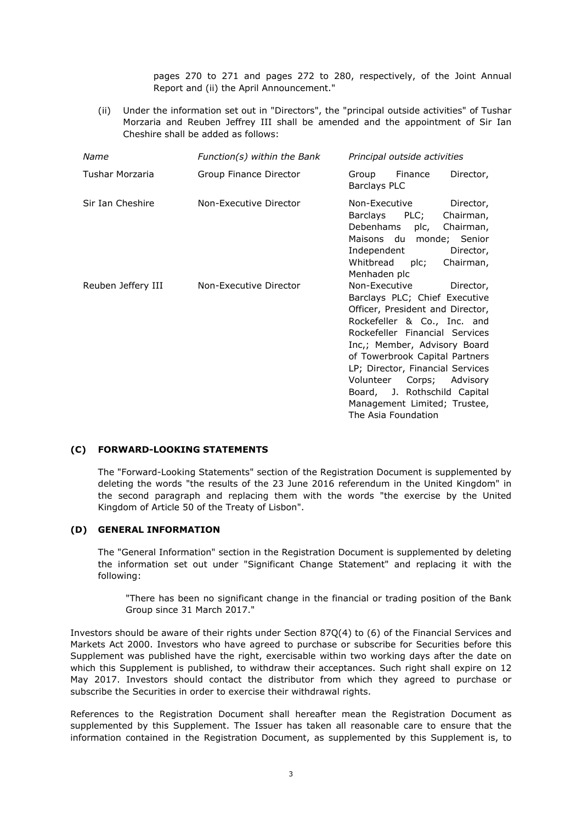pages 270 to 271 and pages 272 to 280, respectively, of the Joint Annual Report and (ii) the April Announcement."

(ii) Under the information set out in "Directors", the "principal outside activities" of Tushar Morzaria and Reuben Jeffrey III shall be amended and the appointment of Sir Ian Cheshire shall be added as follows:

| Name               | Function(s) within the Bank | Principal outside activities                                                                                                                                                                                                                                                                                                                                                                  |
|--------------------|-----------------------------|-----------------------------------------------------------------------------------------------------------------------------------------------------------------------------------------------------------------------------------------------------------------------------------------------------------------------------------------------------------------------------------------------|
| Tushar Morzaria    | Group Finance Director      | Group Finance<br>Director,<br>Barclays PLC                                                                                                                                                                                                                                                                                                                                                    |
| Sir Ian Cheshire   | Non-Executive Director      | Non-Executive<br>Director,<br>Barclays PLC;<br>Chairman,<br>Debenhams<br>plc,<br>Chairman,<br>Maisons du monde; Senior<br>Independent<br>Director,<br>Whitbread plc;<br>Chairman,<br>Menhaden plc                                                                                                                                                                                             |
| Reuben Jeffery III | Non-Executive Director      | Non-Executive<br>Director,<br>Barclays PLC; Chief Executive<br>Officer, President and Director,<br>Rockefeller & Co., Inc. and<br>Rockefeller Financial Services<br>Inc.; Member, Advisory Board<br>of Towerbrook Capital Partners<br>LP; Director, Financial Services<br>Volunteer<br>Corps; Advisory<br>Board, J. Rothschild Capital<br>Management Limited; Trustee,<br>The Asia Foundation |

## **(C) FORWARD-LOOKING STATEMENTS**

The "Forward-Looking Statements" section of the Registration Document is supplemented by deleting the words "the results of the 23 June 2016 referendum in the United Kingdom" in the second paragraph and replacing them with the words "the exercise by the United Kingdom of Article 50 of the Treaty of Lisbon".

#### **(D) GENERAL INFORMATION**

The "General Information" section in the Registration Document is supplemented by deleting the information set out under "Significant Change Statement" and replacing it with the following:

"There has been no significant change in the financial or trading position of the Bank Group since 31 March 2017."

Investors should be aware of their rights under Section 87Q(4) to (6) of the Financial Services and Markets Act 2000. Investors who have agreed to purchase or subscribe for Securities before this Supplement was published have the right, exercisable within two working days after the date on which this Supplement is published, to withdraw their acceptances. Such right shall expire on 12 May 2017. Investors should contact the distributor from which they agreed to purchase or subscribe the Securities in order to exercise their withdrawal rights.

References to the Registration Document shall hereafter mean the Registration Document as supplemented by this Supplement. The Issuer has taken all reasonable care to ensure that the information contained in the Registration Document, as supplemented by this Supplement is, to